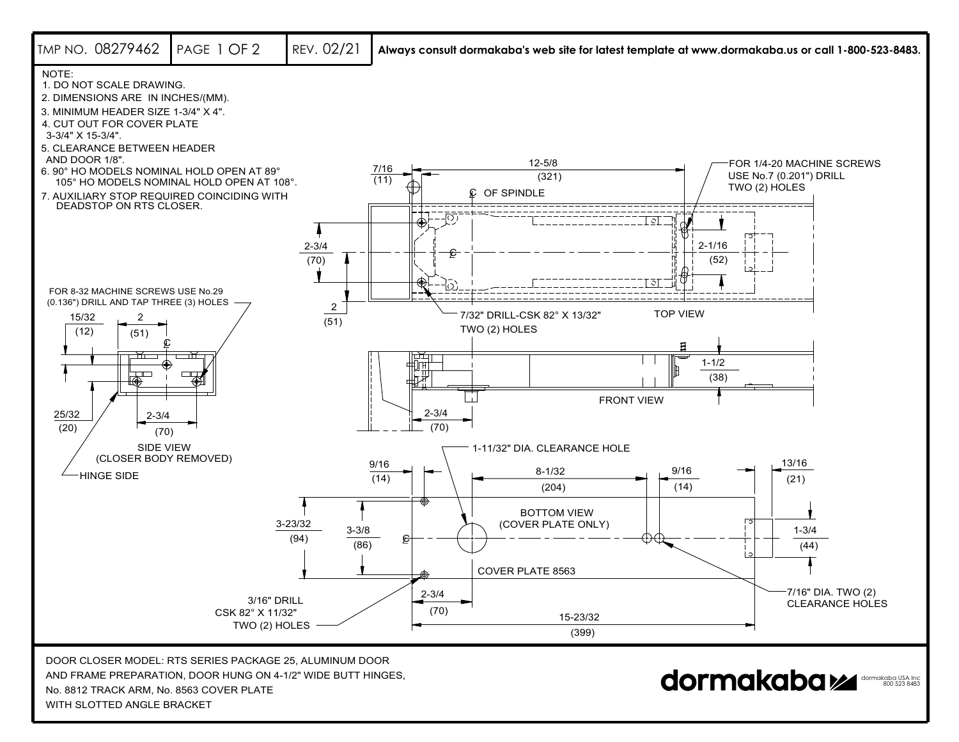

WITH SLOTTED ANGLE BRACKET